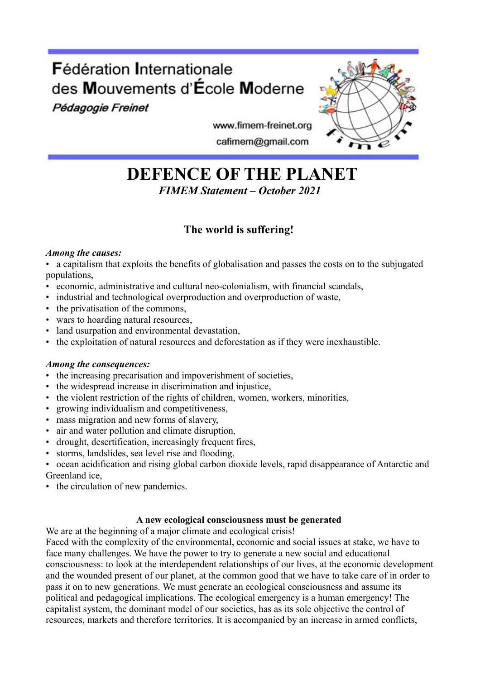# Fédération Internationale des Mouvements d'École Moderne

Pédagogie Freinet



www.fimem-freinet.org cafimem@gmail.com

# **DEFENCE OF THE PLANET**  *FIMEM Statement – October 2021*

# **The world is suffering!**

## *Among the causes:*

• a capitalism that exploits the benefits of globalisation and passes the costs on to the subjugated populations,

- economic, administrative and cultural neo-colonialism, with financial scandals,
- industrial and technological overproduction and overproduction of waste,
- the privatisation of the commons,
- wars to hoarding natural resources,
- land usurpation and environmental devastation,
- the exploitation of natural resources and deforestation as if they were inexhaustible.

## *Among the consequences:*

- the increasing precarisation and impoverishment of societies,
- the widespread increase in discrimination and injustice,
- the violent restriction of the rights of children, women, workers, minorities,
- growing individualism and competitiveness,
- mass migration and new forms of slavery,
- air and water pollution and climate disruption,
- drought, desertification, increasingly frequent fires,
- storms, landslides, sea level rise and flooding,
- ocean acidification and rising global carbon dioxide levels, rapid disappearance of Antarctic and Greenland ice,
- the circulation of new pandemics.

### **A new ecological consciousness must be generated**

We are at the beginning of a major climate and ecological crisis!

Faced with the complexity of the environmental, economic and social issues at stake, we have to face many challenges. We have the power to try to generate a new social and educational consciousness: to look at the interdependent relationships of our lives, at the economic development and the wounded present of our planet, at the common good that we have to take care of in order to pass it on to new generations. We must generate an ecological consciousness and assume its political and pedagogical implications. The ecological emergency is a human emergency! The capitalist system, the dominant model of our societies, has as its sole objective the control of resources, markets and therefore territories. It is accompanied by an increase in armed conflicts,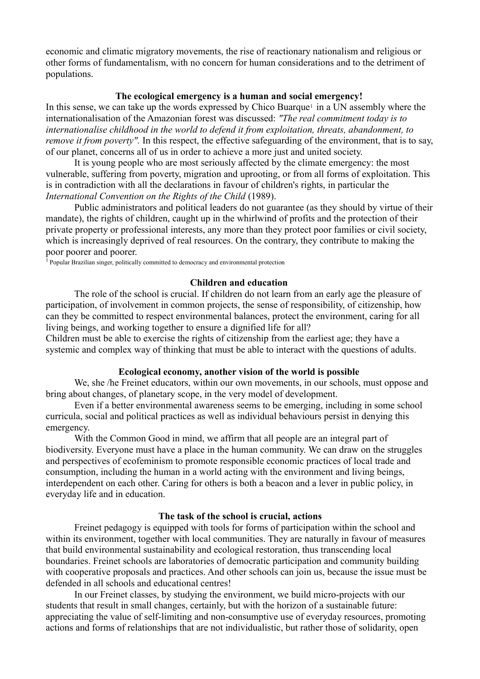economic and climatic migratory movements, the rise of reactionary nationalism and religious or other forms of fundamentalism, with no concern for human considerations and to the detriment of populations.

#### **The ecological emergency is a human and social emergency!**

In this sense, we can take up the words expressed by Chico Buarque<sup>1</sup> in a UN assembly where the internationalisation of the Amazonian forest was discussed: *"The real commitment today is to internationalise childhood in the world to defend it from exploitation, threats, abandonment, to remove it from poverty".* In this respect, the effective safeguarding of the environment, that is to say, of our planet, concerns all of us in order to achieve a more just and united society.

It is young people who are most seriously affected by the climate emergency: the most vulnerable, suffering from poverty, migration and uprooting, or from all forms of exploitation. This is in contradiction with all the declarations in favour of children's rights, in particular the *International Convention on the Rights of the Child* (1989).

Public administrators and political leaders do not guarantee (as they should by virtue of their mandate), the rights of children, caught up in the whirlwind of profits and the protection of their private property or professional interests, any more than they protect poor families or civil society, which is increasingly deprived of real resources. On the contrary, they contribute to making the poor poorer and poorer.

<sup>1</sup> Popular Brazilian singer, politically committed to democracy and environmental protection

#### **Children and education**

The role of the school is crucial. If children do not learn from an early age the pleasure of participation, of involvement in common projects, the sense of responsibility, of citizenship, how can they be committed to respect environmental balances, protect the environment, caring for all living beings, and working together to ensure a dignified life for all?

Children must be able to exercise the rights of citizenship from the earliest age; they have a systemic and complex way of thinking that must be able to interact with the questions of adults.

#### **Ecological economy, another vision of the world is possible**

We, she /he Freinet educators, within our own movements, in our schools, must oppose and bring about changes, of planetary scope, in the very model of development.

Even if a better environmental awareness seems to be emerging, including in some school curricula, social and political practices as well as individual behaviours persist in denying this emergency.

With the Common Good in mind, we affirm that all people are an integral part of biodiversity. Everyone must have a place in the human community. We can draw on the struggles and perspectives of ecofeminism to promote responsible economic practices of local trade and consumption, including the human in a world acting with the environment and living beings, interdependent on each other. Caring for others is both a beacon and a lever in public policy, in everyday life and in education.

#### **The task of the school is crucial, actions**

Freinet pedagogy is equipped with tools for forms of participation within the school and within its environment, together with local communities. They are naturally in favour of measures that build environmental sustainability and ecological restoration, thus transcending local boundaries. Freinet schools are laboratories of democratic participation and community building with cooperative proposals and practices. And other schools can join us, because the issue must be defended in all schools and educational centres!

In our Freinet classes, by studying the environment, we build micro-projects with our students that result in small changes, certainly, but with the horizon of a sustainable future: appreciating the value of self-limiting and non-consumptive use of everyday resources, promoting actions and forms of relationships that are not individualistic, but rather those of solidarity, open